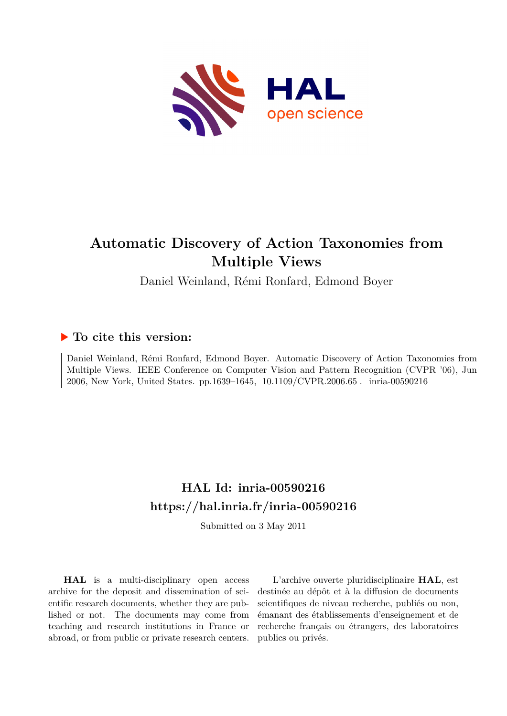

# **Automatic Discovery of Action Taxonomies from Multiple Views**

Daniel Weinland, Rémi Ronfard, Edmond Boyer

# **To cite this version:**

Daniel Weinland, Rémi Ronfard, Edmond Boyer. Automatic Discovery of Action Taxonomies from Multiple Views. IEEE Conference on Computer Vision and Pattern Recognition (CVPR '06), Jun 2006, New York, United States. pp.1639-1645, 10.1109/CVPR.2006.65. inria-00590216

# **HAL Id: inria-00590216 <https://hal.inria.fr/inria-00590216>**

Submitted on 3 May 2011

**HAL** is a multi-disciplinary open access archive for the deposit and dissemination of scientific research documents, whether they are published or not. The documents may come from teaching and research institutions in France or abroad, or from public or private research centers.

L'archive ouverte pluridisciplinaire **HAL**, est destinée au dépôt et à la diffusion de documents scientifiques de niveau recherche, publiés ou non, émanant des établissements d'enseignement et de recherche français ou étrangers, des laboratoires publics ou privés.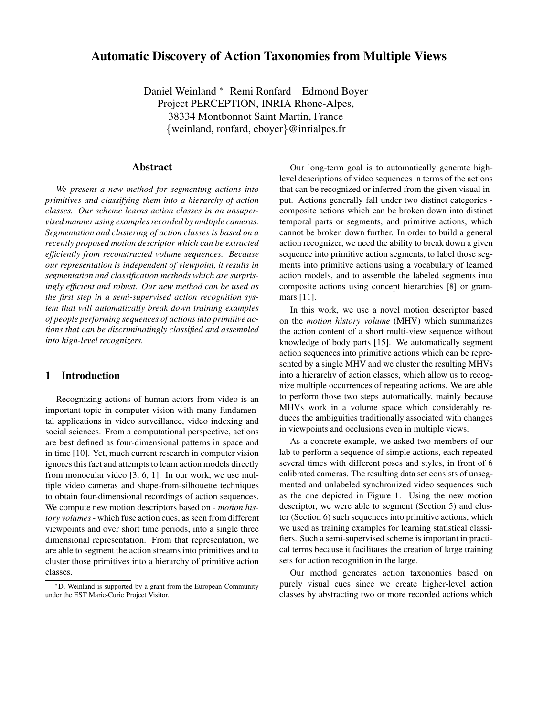# **Automatic Discovery of Action Taxonomies from Multiple Views**

Daniel Weinland <sup>∗</sup> Remi Ronfard Edmond Boyer Project PERCEPTION, INRIA Rhone-Alpes, 38334 Montbonnot Saint Martin, France {weinland, ronfard, eboyer}@inrialpes.fr

#### **Abstract**

*We present a new method for segmenting actions into primitives and classifying them into a hierarchy of action classes. Our scheme learns action classes in an unsupervised* manner *using examples recorded by multiple cameras. Segmentation and clustering of action classes is based on a recently proposed motion descriptor which can be extracted efficiently from reconstructed volume sequences. Because our representation is independent of viewpoint, it results in segmentation and classification methods which are surprisingly efficient and robust. Our new method can be used as the first step in a semi-supervised action recognition system that will automatically break down training examples of people performing sequences of actionsinto primitive actions that can be discriminatingly classified and assembled into high-level recognizers.*

#### **1 Introduction**

Recognizing actions of human actors from video is an important topic in computer vision with many fundamental applications in video surveillance, video indexing and social sciences. From a computational perspective, actions are best defined as four-dimensional patterns in space and in time [10]. Yet, much current research in computer vision ignores this fact and attempts to learn action models directly from monocular video [3, 6, 1]. In our work, we use multiple video cameras and shape-from-silhouette techniques to obtain four-dimensional recordings of action sequences. We compute new motion descriptors based on - *motion history volumes*- which fuse action cues, as seen from different viewpoints and over short time periods, into a single three dimensional representation. From that representation, we are able to segment the action streams into primitives and to cluster those primitives into a hierarchy of primitive action classes.

Our long-term goal is to automatically generate highlevel descriptions of video sequences in terms of the actions that can be recognized or inferred from the given visual input. Actions generally fall under two distinct categories composite actions which can be broken down into distinct temporal parts or segments, and primitive actions, which cannot be broken down further. In order to build a general action recognizer, we need the ability to break down a given sequence into primitive action segments, to label those segments into primitive actions using a vocabulary of learned action models, and to assemble the labeled segments into composite actions using concept hierarchies [8] or grammars [11].

In this work, we use a novel motion descriptor based on the *motion history volume* (MHV) which summarizes the action content of a short multi-view sequence without knowledge of body parts [15]. We automatically segment action sequences into primitive actions which can be represented by a single MHV and we cluster the resulting MHVs into a hierarchy of action classes, which allow us to recognize multiple occurrences of repeating actions. We are able to perform those two steps automatically, mainly because MHVs work in a volume space which considerably reduces the ambiguities traditionally associated with changes in viewpoints and occlusions even in multiple views.

As a concrete example, we asked two members of our lab to perform a sequence of simple actions, each repeated several times with different poses and styles, in front of 6 calibrated cameras. The resulting data set consists of unsegmented and unlabeled synchronized video sequences such as the one depicted in Figure 1. Using the new motion descriptor, we were able to segment (Section 5) and cluster (Section 6) such sequences into primitive actions, which we used as training examples for learning statistical classifiers. Such a semi-supervised scheme is important in practical terms because it facilitates the creation of large training sets for action recognition in the large.

Our method generates action taxonomies based on purely visual cues since we create higher-level action classes by abstracting two or more recorded actions which

<sup>∗</sup>D. Weinland is supported by a grant from the European Community under the EST Marie-Curie Project Visitor.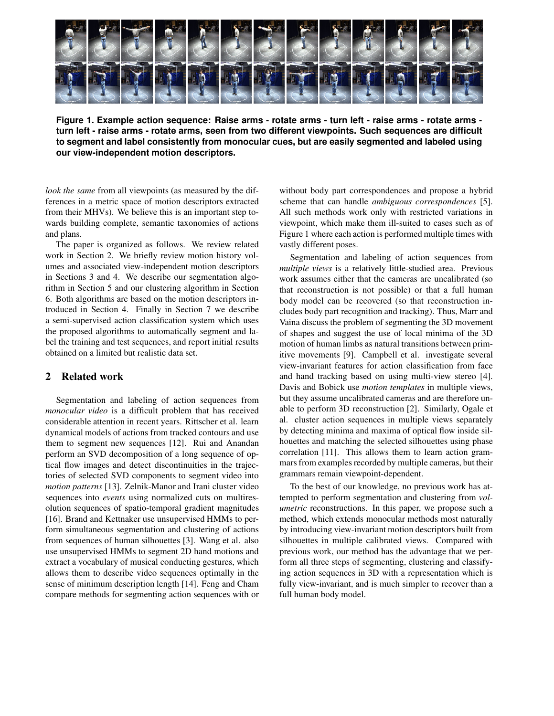

Figure 1. Example action sequence: Raise arms - rotate arms - turn left - raise arms - rotate arms **turn left - raise arms - rotate arms, seen from two different viewpoints. Such sequences are difficult to segment and label consistently from monocular cues, but are easily segmented and labeled using our view-independent motion descriptors.**

*look the same* from all viewpoints (as measured by the differences in a metric space of motion descriptors extracted from their MHVs). We believe this is an important step towards building complete, semantic taxonomies of actions and plans.

The paper is organized as follows. We review related work in Section 2. We briefly review motion history volumes and associated view-independent motion descriptors in Sections 3 and 4. We describe our segmentation algorithm in Section 5 and our clustering algorithm in Section 6. Both algorithms are based on the motion descriptors introduced in Section 4. Finally in Section 7 we describe a semi-supervised action classification system which uses the proposed algorithms to automatically segment and label the training and test sequences, and report initial results obtained on a limited but realistic data set.

# **2 Related work**

Segmentation and labeling of action sequences from *monocular video* is a difficult problem that has received considerable attention in recent years. Rittscher et al. learn dynamical models of actions from tracked contours and use them to segment new sequences [12]. Rui and Anandan perform an SVD decomposition of a long sequence of optical flow images and detect discontinuities in the trajectories of selected SVD components to segment video into *motion patterns* [13]. Zelnik-Manor and Irani cluster video sequences into *events* using normalized cuts on multiresolution sequences of spatio-temporal gradient magnitudes [16]. Brand and Kettnaker use unsupervised HMMs to perform simultaneous segmentation and clustering of actions from sequences of human silhouettes [3]. Wang et al. also use unsupervised HMMs to segment 2D hand motions and extract a vocabulary of musical conducting gestures, which allows them to describe video sequences optimally in the sense of minimum description length [14]. Feng and Cham compare methods for segmenting action sequences with or without body part correspondences and propose a hybrid scheme that can handle *ambiguous correspondences* [5]. All such methods work only with restricted variations in viewpoint, which make them ill-suited to cases such as of Figure 1 where each action is performed multiple times with vastly different poses.

Segmentation and labeling of action sequences from *multiple views* is a relatively little-studied area. Previous work assumes either that the cameras are uncalibrated (so that reconstruction is not possible) or that a full human body model can be recovered (so that reconstruction includes body part recognition and tracking). Thus, Marr and Vaina discuss the problem of segmenting the 3D movement of shapes and suggest the use of local minima of the 3D motion of human limbs as natural transitions between primitive movements [9]. Campbell et al. investigate several view-invariant features for action classification from face and hand tracking based on using multi-view stereo [4]. Davis and Bobick use *motion templates* in multiple views, but they assume uncalibrated cameras and are therefore unable to perform 3D reconstruction [2]. Similarly, Ogale et al. cluster action sequences in multiple views separately by detecting minima and maxima of optical flow inside silhouettes and matching the selected silhouettes using phase correlation [11]. This allows them to learn action grammars from examples recorded by multiple cameras, but their grammars remain viewpoint-dependent.

To the best of our knowledge, no previous work has attempted to perform segmentation and clustering from *volumetric* reconstructions. In this paper, we propose such a method, which extends monocular methods most naturally by introducing view-invariant motion descriptors built from silhouettes in multiple calibrated views. Compared with previous work, our method has the advantage that we perform all three steps of segmenting, clustering and classifying action sequences in 3D with a representation which is fully view-invariant, and is much simpler to recover than a full human body model.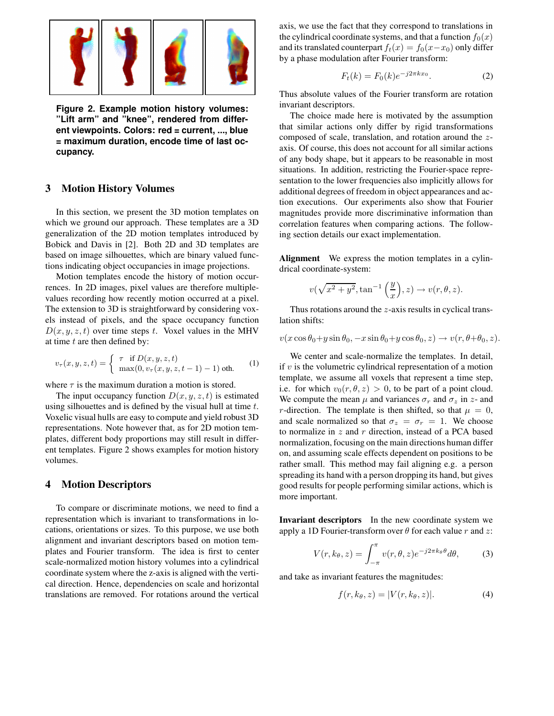

**Figure 2. Example motion history volumes: "Lift arm" and "knee", rendered from different viewpoints. Colors: red = current, ..., blue = maximum duration, encode time of last occupancy.**

# **3 Motion History Volumes**

In this section, we present the 3D motion templates on which we ground our approach. These templates are a 3D generalization of the 2D motion templates introduced by Bobick and Davis in [2]. Both 2D and 3D templates are based on image silhouettes, which are binary valued functions indicating object occupancies in image projections.

Motion templates encode the history of motion occurrences. In 2D images, pixel values are therefore multiplevalues recording how recently motion occurred at a pixel. The extension to 3D is straightforward by considering voxels instead of pixels, and the space occupancy function  $D(x, y, z, t)$  over time steps t. Voxel values in the MHV at time  $t$  are then defined by:

$$
v_{\tau}(x, y, z, t) = \begin{cases} \tau & \text{if } D(x, y, z, t) \\ \max(0, v_{\tau}(x, y, z, t - 1) - 1) & \text{otherwise} \end{cases}
$$
 (1)

where  $\tau$  is the maximum duration a motion is stored.

The input occupancy function  $D(x, y, z, t)$  is estimated using silhouettes and is defined by the visual hull at time  $t$ . Voxelic visual hulls are easy to compute and yield robust 3D representations. Note however that, as for 2D motion templates, different body proportions may still result in different templates. Figure 2 shows examples for motion history volumes.

#### **4 Motion Descriptors**

To compare or discriminate motions, we need to find a representation which is invariant to transformations in locations, orientations or sizes. To this purpose, we use both alignment and invariant descriptors based on motion templates and Fourier transform. The idea is first to center scale-normalized motion history volumes into a cylindrical coordinate system where the z-axis is aligned with the vertical direction. Hence, dependencies on scale and horizontal translations are removed. For rotations around the vertical axis, we use the fact that they correspond to translations in the cylindrical coordinate systems, and that a function  $f_0(x)$ and its translated counterpart  $f_t(x) = f_0(x-x_0)$  only differ by a phase modulation after Fourier transform:

$$
F_t(k) = F_0(k)e^{-j2\pi kx_0}.
$$
 (2)

Thus absolute values of the Fourier transform are rotation invariant descriptors.

The choice made here is motivated by the assumption that similar actions only differ by rigid transformations composed of scale, translation, and rotation around the zaxis. Of course, this does not account for all similar actions of any body shape, but it appears to be reasonable in most situations. In addition, restricting the Fourier-space representation to the lower frequencies also implicitly allows for additional degrees of freedom in object appearances and action executions. Our experiments also show that Fourier magnitudes provide more discriminative information than correlation features when comparing actions. The following section details our exact implementation.

**Alignment** We express the motion templates in a cylindrical coordinate-system:

$$
v(\sqrt{x^2+y^2}, \tan^{-1}\left(\frac{y}{x}\right), z) \to v(r, \theta, z).
$$

Thus rotations around the z-axis results in cyclical translation shifts:

 $v(x \cos \theta_0 + y \sin \theta_0, -x \sin \theta_0 + y \cos \theta_0, z) \rightarrow v(r, \theta + \theta_0, z).$ 

We center and scale-normalize the templates. In detail, if  $v$  is the volumetric cylindrical representation of a motion template, we assume all voxels that represent a time step, i.e. for which  $v_0(r, \theta, z) > 0$ , to be part of a point cloud. We compute the mean  $\mu$  and variances  $\sigma_r$  and  $\sigma_z$  in z- and r-direction. The template is then shifted, so that  $\mu = 0$ , and scale normalized so that  $\sigma_z = \sigma_r = 1$ . We choose to normalize in  $z$  and  $r$  direction, instead of a PCA based normalization, focusing on the main directions human differ on, and assuming scale effects dependent on positions to be rather small. This method may fail aligning e.g. a person spreading its hand with a person dropping its hand, but gives good results for people performing similar actions, which is more important.

**Invariant descriptors** In the new coordinate system we apply a 1D Fourier-transform over  $\theta$  for each value r and z:

$$
V(r, k_{\theta}, z) = \int_{-\pi}^{\pi} v(r, \theta, z) e^{-j2\pi k_{\theta}\theta} d\theta,
$$
 (3)

and take as invariant features the magnitudes:

$$
f(r, k_{\theta}, z) = |V(r, k_{\theta}, z)|.
$$
 (4)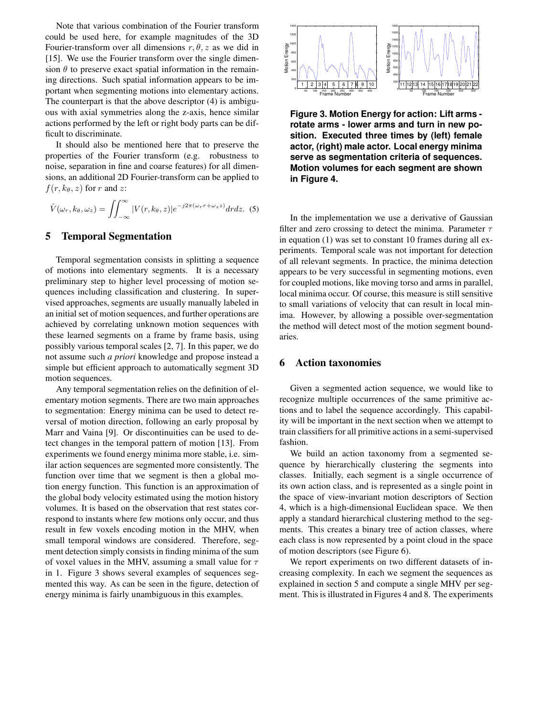Note that various combination of the Fourier transform could be used here, for example magnitudes of the 3D Fourier-transform over all dimensions  $r, \theta, z$  as we did in [15]. We use the Fourier transform over the single dimension  $\theta$  to preserve exact spatial information in the remaining directions. Such spatial information appears to be important when segmenting motions into elementary actions. The counterpart is that the above descriptor (4) is ambiguous with axial symmetries along the z-axis, hence similar actions performed by the left or right body parts can be difficult to discriminate.

It should also be mentioned here that to preserve the properties of the Fourier transform (e.g. robustness to noise, separation in fine and coarse features) for all dimensions, an additional 2D Fourier-transform can be applied to  $f(r, k_\theta, z)$  for r and z:

$$
\hat{V}(\omega_r, k_\theta, \omega_z) = \iint_{-\infty}^{\infty} |V(r, k_\theta, z)| e^{-j2\pi(\omega_r r + \omega_z z)} dr dz.
$$
 (5)

# **5 Temporal Segmentation**

Temporal segmentation consists in splitting a sequence of motions into elementary segments. It is a necessary preliminary step to higher level processing of motion sequences including classification and clustering. In supervised approaches, segments are usually manually labeled in an initial set of motion sequences, and further operations are achieved by correlating unknown motion sequences with these learned segments on a frame by frame basis, using possibly various temporal scales [2, 7]. In this paper, we do not assume such *a priori* knowledge and propose instead a simple but efficient approach to automatically segment 3D motion sequences.

Any temporal segmentation relies on the definition of elementary motion segments. There are two main approaches to segmentation: Energy minima can be used to detect reversal of motion direction, following an early proposal by Marr and Vaina [9]. Or discontinuities can be used to detect changes in the temporal pattern of motion [13]. From experiments we found energy minima more stable, i.e. similar action sequences are segmented more consistently. The function over time that we segment is then a global motion energy function. This function is an approximation of the global body velocity estimated using the motion history volumes. It is based on the observation that rest states correspond to instants where few motions only occur, and thus result in few voxels encoding motion in the MHV, when small temporal windows are considered. Therefore, segment detection simply consists in finding minima of the sum of voxel values in the MHV, assuming a small value for  $\tau$ in 1. Figure 3 shows several examples of sequences segmented this way. As can be seen in the figure, detection of energy minima is fairly unambiguous in this examples.



**Figure 3. Motion Energy for action: Lift arms rotate arms - lower arms and turn in new position. Executed three times by (left) female actor, (right) male actor. Local energy minima serve as segmentation criteria of sequences. Motion volumes for each segment are shown in Figure 4.**

In the implementation we use a derivative of Gaussian filter and zero crossing to detect the minima. Parameter  $\tau$ in equation (1) was set to constant 10 frames during all experiments. Temporal scale was not important for detection of all relevant segments. In practice, the minima detection appears to be very successful in segmenting motions, even for coupled motions, like moving torso and arms in parallel, local minima occur. Of course, this measure is still sensitive to small variations of velocity that can result in local minima. However, by allowing a possible over-segmentation the method will detect most of the motion segment boundaries.

# **6 Action taxonomies**

Given a segmented action sequence, we would like to recognize multiple occurrences of the same primitive actions and to label the sequence accordingly. This capability will be important in the next section when we attempt to train classifiers for all primitive actions in a semi-supervised fashion.

We build an action taxonomy from a segmented sequence by hierarchically clustering the segments into classes. Initially, each segment is a single occurrence of its own action class, and is represented as a single point in the space of view-invariant motion descriptors of Section 4, which is a high-dimensional Euclidean space. We then apply a standard hierarchical clustering method to the segments. This creates a binary tree of action classes, where each class is now represented by a point cloud in the space of motion descriptors (see Figure 6).

We report experiments on two different datasets of increasing complexity. In each we segment the sequences as explained in section 5 and compute a single MHV per segment. This is illustrated in Figures 4 and 8. The experiments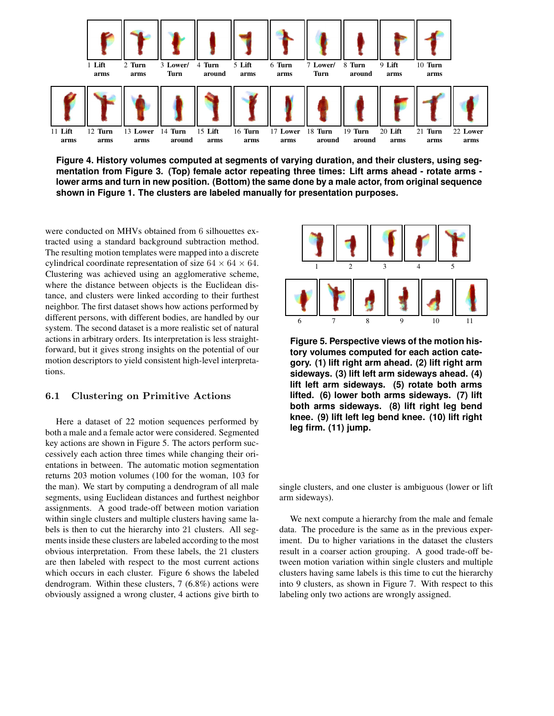

**Figure 4. History volumes computed at segments of varying duration, and their clusters, using segmentation from Figure 3. (Top) female actor repeating three times: Lift arms ahead - rotate arms**  lower arms and turn in new position. (Bottom) the same done by a male actor, from original sequence **shown in Figure 1. The clusters are labeled manually for presentation purposes.**

were conducted on MHVs obtained from 6 silhouettes extracted using a standard background subtraction method. The resulting motion templates were mapped into a discrete cylindrical coordinate representation of size  $64 \times 64 \times 64$ . Clustering was achieved using an agglomerative scheme, where the distance between objects is the Euclidean distance, and clusters were linked according to their furthest neighbor. The first dataset shows how actions performed by different persons, with different bodies, are handled by our system. The second dataset is a more realistic set of natural actions in arbitrary orders. Its interpretation is less straightforward, but it gives strong insights on the potential of our motion descriptors to yield consistent high-level interpretations.

#### 6.1 Clustering on Primitive Actions

Here a dataset of 22 motion sequences performed by both a male and a female actor were considered. Segmented key actions are shown in Figure 5. The actors perform successively each action three times while changing their orientations in between. The automatic motion segmentation returns 203 motion volumes (100 for the woman, 103 for the man). We start by computing a dendrogram of all male segments, using Euclidean distances and furthest neighbor assignments. A good trade-off between motion variation within single clusters and multiple clusters having same labels is then to cut the hierarchy into 21 clusters. All segments inside these clusters are labeled according to the most obvious interpretation. From these labels, the 21 clusters are then labeled with respect to the most current actions which occurs in each cluster. Figure 6 shows the labeled dendrogram. Within these clusters, 7 (6.8%) actions were obviously assigned a wrong cluster, 4 actions give birth to



**Figure 5. Perspective views of the motion history volumes computed for each action category. (1) lift right arm ahead. (2) lift right arm sideways. (3) lift left arm sideways ahead. (4) lift left arm sideways. (5) rotate both arms lifted. (6) lower both arms sideways. (7) lift both arms sideways. (8) lift right leg bend knee. (9) lift left leg bend knee. (10) lift right leg firm. (11) jump.**

single clusters, and one cluster is ambiguous (lower or lift arm sideways).

We next compute a hierarchy from the male and female data. The procedure is the same as in the previous experiment. Du to higher variations in the dataset the clusters result in a coarser action grouping. A good trade-off between motion variation within single clusters and multiple clusters having same labels is this time to cut the hierarchy into 9 clusters, as shown in Figure 7. With respect to this labeling only two actions are wrongly assigned.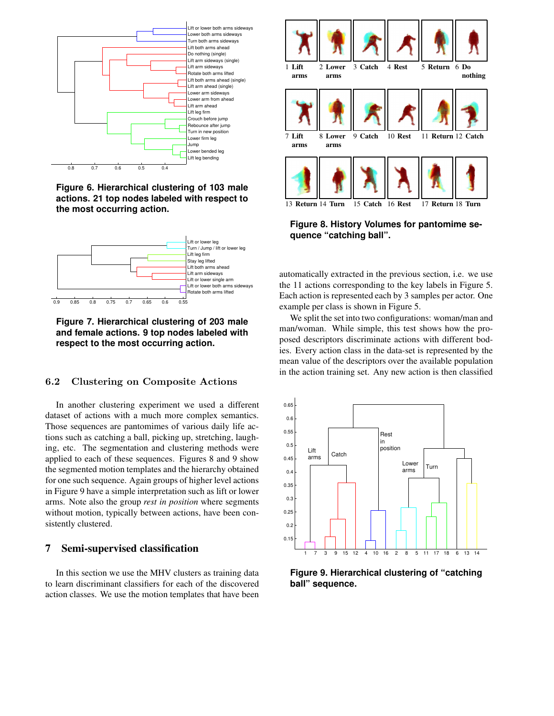

**Figure 6. Hierarchical clustering of 103 male actions. 21 top nodes labeled with respect to the most occurring action.**



**Figure 7. Hierarchical clustering of 203 male and female actions. 9 top nodes labeled with respect to the most occurring action.**

# 6.2 Clustering on Composite Actions

In another clustering experiment we used a different dataset of actions with a much more complex semantics. Those sequences are pantomimes of various daily life actions such as catching a ball, picking up, stretching, laughing, etc. The segmentation and clustering methods were applied to each of these sequences. Figures 8 and 9 show the segmented motion templates and the hierarchy obtained for one such sequence. Again groups of higher level actions in Figure 9 have a simple interpretation such as lift or lower arms. Note also the group *rest in position* where segments without motion, typically between actions, have been consistently clustered.

# **7 Semi-supervised classification**

In this section we use the MHV clusters as training data to learn discriminant classifiers for each of the discovered action classes. We use the motion templates that have been



**Figure 8. History Volumes for pantomime sequence "catching ball".**

automatically extracted in the previous section, i.e. we use the 11 actions corresponding to the key labels in Figure 5. Each action is represented each by 3 samples per actor. One example per class is shown in Figure 5.

We split the set into two configurations: woman/man and man/woman. While simple, this test shows how the proposed descriptors discriminate actions with different bodies. Every action class in the data-set is represented by the mean value of the descriptors over the available population in the action training set. Any new action is then classified



**Figure 9. Hierarchical clustering of "catching ball" sequence.**